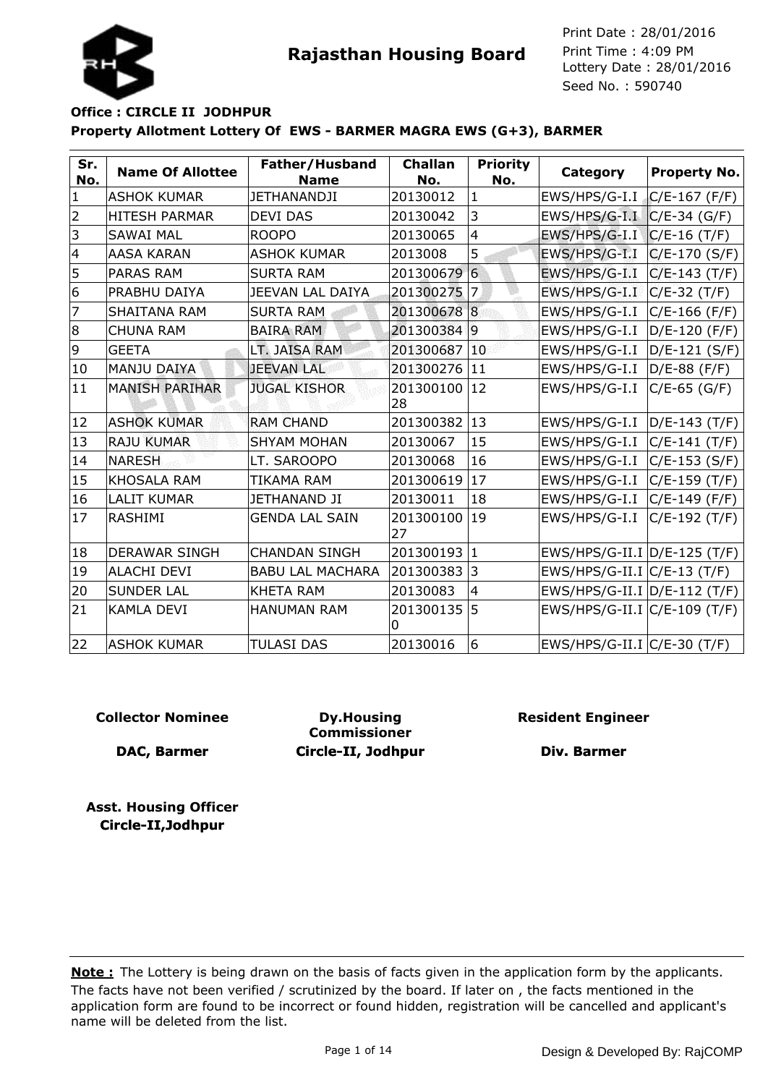



### **Property Allotment Lottery Of EWS - BARMER MAGRA EWS (G+3), BARMER Office : CIRCLE II JODHPUR**

| Sr.<br>No.     | <b>Name Of Allottee</b> | Father/Husband<br><b>Name</b> | <b>Challan</b><br>No. | <b>Priority</b><br>No. | Category                     | <b>Property No.</b> |
|----------------|-------------------------|-------------------------------|-----------------------|------------------------|------------------------------|---------------------|
| $\mathbf{1}$   | <b>ASHOK KUMAR</b>      | <b>JETHANANDJI</b>            | 20130012              | $\mathbf{1}$           | EWS/HPS/G-I.I                | $C/E-167(F/F)$      |
| $\overline{2}$ | <b>HITESH PARMAR</b>    | <b>DEVI DAS</b>               | 20130042              | 3                      | EWS/HPS/G-I.I                | $C/E-34$ (G/F)      |
| 3              | <b>SAWAI MAL</b>        | <b>ROOPO</b>                  | 20130065              | $\overline{4}$         | EWS/HPS/G-I.I                | $C/E-16(T/F)$       |
| $\overline{4}$ | <b>AASA KARAN</b>       | <b>ASHOK KUMAR</b>            | 2013008               | 5                      | EWS/HPS/G-I.I                | $C/E-170(S/F)$      |
| 5              | <b>PARAS RAM</b>        | <b>SURTA RAM</b>              | 201300679             | $6\phantom{1}$         | EWS/HPS/G-I.I                | $C/E-143(T/F)$      |
| 6              | PRABHU DAIYA            | JEEVAN LAL DAIYA              | 201300275             | 7                      | EWS/HPS/G-I.I                | $C/E-32(T/F)$       |
| 7              | <b>SHAITANA RAM</b>     | <b>SURTA RAM</b>              | 201300678 8           |                        | EWS/HPS/G-I.I                | $C/E-166$ (F/F)     |
| 8              | <b>CHUNA RAM</b>        | <b>BAIRA RAM</b>              | 201300384             | 19                     | EWS/HPS/G-I.I                | D/E-120 (F/F)       |
| 9              | <b>GEETA</b>            | LT. JAISA RAM                 | 201300687             | 10                     | EWS/HPS/G-I.I                | D/E-121 (S/F)       |
| 10             | <b>MANJU DAIYA</b>      | <b>JEEVAN LAL</b>             | 201300276             | 11                     | EWS/HPS/G-I.I                | $D/E-88$ (F/F)      |
| 11             | <b>MANISH PARIHAR</b>   | <b>JUGAL KISHOR</b>           | 201300100<br>28       | 12                     | EWS/HPS/G-I.I                | $C/E-65$ (G/F)      |
| 12             | <b>ASHOK KUMAR</b>      | <b>RAM CHAND</b>              | 201300382             | 13                     | EWS/HPS/G-I.I                | D/E-143 (T/F)       |
| 13             | <b>RAJU KUMAR</b>       | <b>SHYAM MOHAN</b>            | 20130067              | 15                     | EWS/HPS/G-I.I                | $C/E-141(T/F)$      |
| 14             | <b>NARESH</b>           | LT. SAROOPO                   | 20130068              | 16                     | EWS/HPS/G-I.I                | $C/E-153 (S/F)$     |
| 15             | <b>KHOSALA RAM</b>      | TIKAMA RAM                    | 201300619             | 17                     | EWS/HPS/G-I.I                | C/E-159 (T/F)       |
| 16             | <b>LALIT KUMAR</b>      | <b>JETHANAND JI</b>           | 20130011              | 18                     | EWS/HPS/G-I.I                | $C/E-149$ (F/F)     |
| 17             | <b>RASHIMI</b>          | <b>GENDA LAL SAIN</b>         | 201300100<br>27       | 19                     | EWS/HPS/G-I.I                | $C/E-192(T/F)$      |
| 18             | <b>DERAWAR SINGH</b>    | <b>CHANDAN SINGH</b>          | 201300193             | 1                      | EWS/HPS/G-II.I D/E-125 (T/F) |                     |
| 19             | <b>ALACHI DEVI</b>      | <b>BABU LAL MACHARA</b>       | 201300383             | 3                      | $EWS/HPS/G-II.I/C/E-13(T/F)$ |                     |
| 20             | <b>SUNDER LAL</b>       | <b>KHETA RAM</b>              | 20130083              | 4                      | EWS/HPS/G-II.I D/E-112 (T/F) |                     |
| 21             | <b>KAMLA DEVI</b>       | <b>HANUMAN RAM</b>            | 201300135<br>ი        | 5                      | EWS/HPS/G-II.I C/E-109 (T/F) |                     |
| 22             | <b>ASHOK KUMAR</b>      | <b>TULASI DAS</b>             | 20130016              | 6                      | EWS/HPS/G-II.I C/E-30 (T/F)  |                     |

### **Collector Nominee**

**DAC, Barmer**

**Dy.Housing Commissioner Circle-II, Jodhpur** **Resident Engineer**

**Div. Barmer**

**Asst. Housing Officer Circle-II,Jodhpur**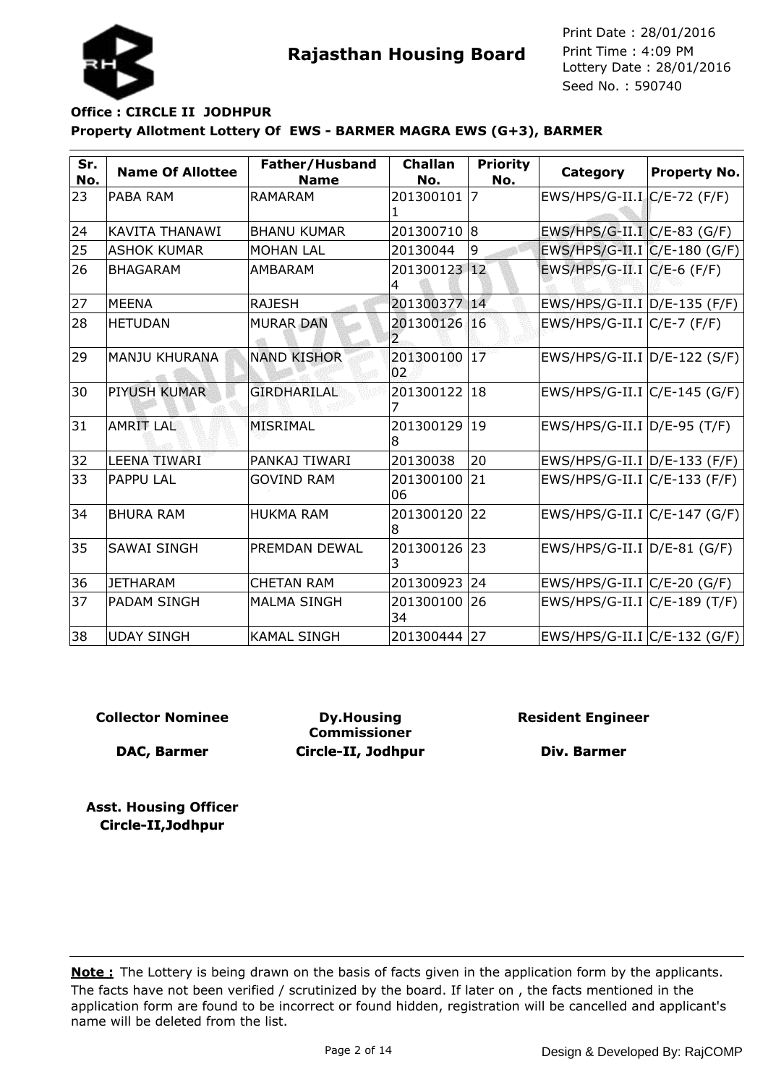

# **Property Allotment Lottery Of EWS - BARMER MAGRA EWS (G+3), BARMER Office : CIRCLE II JODHPUR**

| Sr.<br>No. | <b>Name Of Allottee</b> | Father/Husband<br><b>Name</b> | <b>Challan</b><br>No.          | <b>Priority</b><br>No. | Category                         | <b>Property No.</b> |
|------------|-------------------------|-------------------------------|--------------------------------|------------------------|----------------------------------|---------------------|
| 23         | PABA RAM                | <b>RAMARAM</b>                | 201300101                      | 17                     | $EWS/HPS/G-II.I/C/E-72(F/F)$     |                     |
| 24         | <b>KAVITA THANAWI</b>   | <b>BHANU KUMAR</b>            | 201300710 8                    |                        | $EWS/HPS/G-II.I C/E-83 (G/F)$    |                     |
| 25         | <b>ASHOK KUMAR</b>      | <b>MOHAN LAL</b>              | 20130044                       | 9                      | EWS/HPS/G-II.I C/E-180 (G/F)     |                     |
| 26         | <b>BHAGARAM</b>         | AMBARAM                       | 201300123 12<br>4              |                        | EWS/HPS/G-II.I $C/E-6$ (F/F)     |                     |
| 27         | <b>MEENA</b>            | <b>RAJESH</b>                 | 201300377                      | $\overline{14}$        | EWS/HPS/G-II.I D/E-135 (F/F)     |                     |
| 28         | <b>HETUDAN</b>          | <b>MURAR DAN</b>              | 201300126 16<br>$\overline{2}$ |                        | $EWS/HPS/G-II.I~C/E-7$ (F/F)     |                     |
| 29         | <b>MANJU KHURANA</b>    | <b>NAND KISHOR</b>            | 201300100<br>02                | 17 <sup>°</sup>        | $EWS/HPS/G-II.I  D/E-122 (S/F)$  |                     |
| 30         | <b>PIYUSH KUMAR</b>     | <b>GIRDHARILAL</b>            | 201300122                      | 18                     | $EWS/HPS/G-II.I/C/E-145(G/F)$    |                     |
| 31         | <b>AMRIT LAL</b>        | <b>MISRIMAL</b>               | 201300129<br>8                 | 19                     | $EWS/HPS/G-II.I D/E-95(T/F)$     |                     |
| 32         | <b>LEENA TIWARI</b>     | PANKAJ TIWARI                 | 20130038                       | 20                     | EWS/HPS/G-II.I D/E-133 (F/F)     |                     |
| 33         | <b>PAPPU LAL</b>        | <b>GOVIND RAM</b>             | 201300100<br>06                | 21                     | EWS/HPS/G-II.I C/E-133 (F/F)     |                     |
| 34         | <b>BHURA RAM</b>        | <b>HUKMA RAM</b>              | 201300120<br>8                 | 22                     | $EWS/HPS/G-II.I/C/E-147(G/F)$    |                     |
| 35         | <b>SAWAI SINGH</b>      | <b>PREMDAN DEWAL</b>          | 201300126 23<br>3              |                        | EWS/HPS/G-II.I D/E-81 (G/F)      |                     |
| 36         | <b>JETHARAM</b>         | <b>CHETAN RAM</b>             | 201300923                      | 24                     | EWS/HPS/G-II.I C/E-20 (G/F)      |                     |
| 37         | <b>PADAM SINGH</b>      | <b>MALMA SINGH</b>            | 201300100<br>34                | 26                     | EWS/HPS/G-II.I C/E-189 (T/F)     |                     |
| 38         | <b>UDAY SINGH</b>       | <b>KAMAL SINGH</b>            | 201300444                      | 27                     | $EWS/HPS/G-II.I   C/E-132 (G/F)$ |                     |

**Collector Nominee**

**DAC, Barmer**

**Dy.Housing Commissioner Circle-II, Jodhpur** **Resident Engineer**

**Div. Barmer**

**Asst. Housing Officer Circle-II,Jodhpur**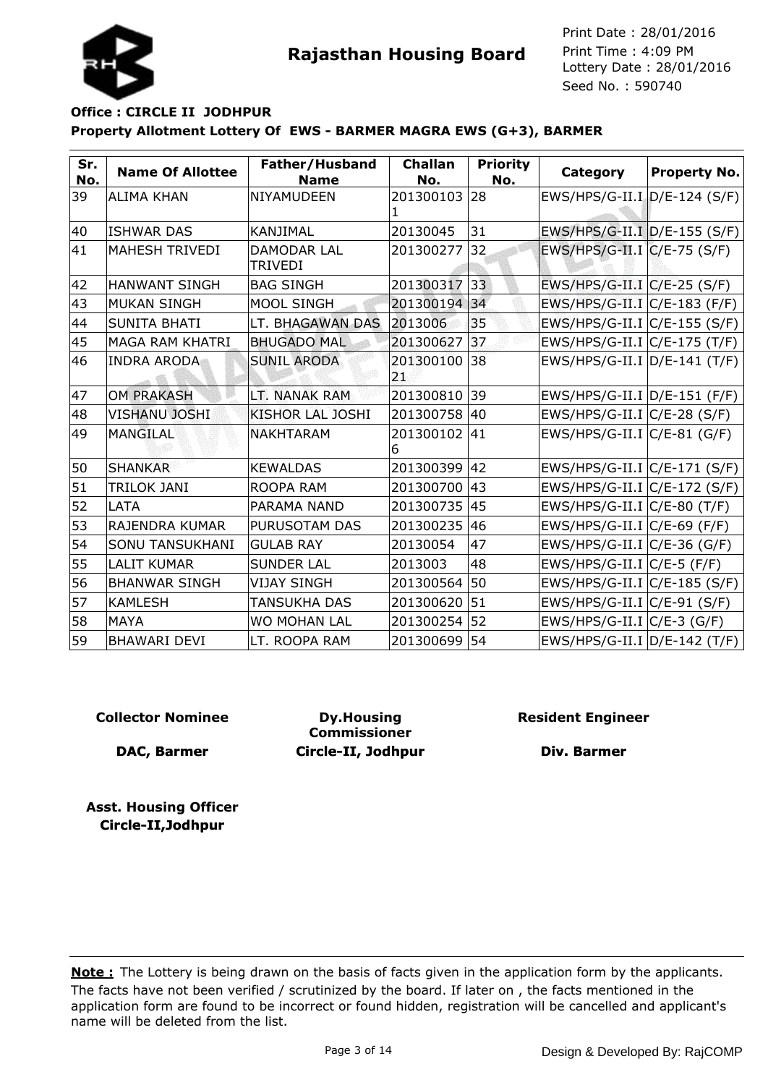



# **Property Allotment Lottery Of EWS - BARMER MAGRA EWS (G+3), BARMER Office : CIRCLE II JODHPUR**

| Sr.<br>No. | <b>Name Of Allottee</b> | Father/Husband<br><b>Name</b>        | <b>Challan</b><br>No. | <b>Priority</b><br>No. | Category                         | <b>Property No.</b> |
|------------|-------------------------|--------------------------------------|-----------------------|------------------------|----------------------------------|---------------------|
| 39         | <b>ALIMA KHAN</b>       | NIYAMUDEEN                           | 201300103<br>1        | 28                     | EWS/HPS/G-II.I.D/E-124 (S/F)     |                     |
| 40         | ISHWAR DAS              | <b>KANJIMAL</b>                      | 20130045              | 31                     | EWS/HPS/G-II.I D/E-155 (S/F)     |                     |
| 41         | <b>MAHESH TRIVEDI</b>   | <b>DAMODAR LAL</b><br><b>TRIVEDI</b> | 201300277             | 32                     | EWS/HPS/G-II.I C/E-75 (S/F)      |                     |
| 42         | <b>HANWANT SINGH</b>    | <b>BAG SINGH</b>                     | 201300317             | 33                     | $EWS/HPS/G-II.I/C/E-25 (S/F)$    |                     |
| 43         | <b>MUKAN SINGH</b>      | MOOL SINGH                           | 201300194             | 34                     | $EWS/HPS/G-II.I$ $C/E-183$ (F/F) |                     |
| 44         | <b>SUNITA BHATI</b>     | LT. BHAGAWAN DAS                     | 2013006               | 35                     | EWS/HPS/G-II.I C/E-155 (S/F)     |                     |
| 45         | <b>MAGA RAM KHATRI</b>  | <b>BHUGADO MAL</b>                   | 201300627             | 37                     | EWS/HPS/G-II.I C/E-175 (T/F)     |                     |
| 46         | <b>INDRA ARODA</b>      | <b>SUNIL ARODA</b>                   | 201300100<br>21       | 38                     | EWS/HPS/G-II.I D/E-141 (T/F)     |                     |
| 47         | <b>OM PRAKASH</b>       | LT. NANAK RAM                        | 201300810             | 39                     | EWS/HPS/G-II.I D/E-151 (F/F)     |                     |
| 48         | <b>VISHANU JOSHI</b>    | KISHOR LAL JOSHI                     | 201300758             | 40                     | EWS/HPS/G-II.I C/E-28 (S/F)      |                     |
| 49         | <b>MANGILAL</b>         | <b>NAKHTARAM</b>                     | 201300102<br>6        | 41                     | $EWS/HPS/G-II.I C/E-81 (G/F)$    |                     |
| 50         | <b>SHANKAR</b>          | <b>KEWALDAS</b>                      | 201300399             | 42                     | EWS/HPS/G-II.I C/E-171 (S/F)     |                     |
| 51         | <b>TRILOK JANI</b>      | ROOPA RAM                            | 201300700             | 43                     | EWS/HPS/G-II.I C/E-172 (S/F)     |                     |
| 52         | LATA                    | PARAMA NAND                          | 201300735             | 45                     | $EWS/HPS/G-II.I/C/E-80(T/F)$     |                     |
| 53         | RAJENDRA KUMAR          | PURUSOTAM DAS                        | 201300235             | 46                     | $EWS/HPS/G-II.I/C/E-69 (F/F)$    |                     |
| 54         | <b>SONU TANSUKHANI</b>  | <b>GULAB RAY</b>                     | 20130054              | 47                     | EWS/HPS/G-II.I C/E-36 (G/F)      |                     |
| 55         | <b>LALIT KUMAR</b>      | <b>SUNDER LAL</b>                    | 2013003               | 48                     | $EWS/HPS/G-II.I/C/E-5 (F/F)$     |                     |
| 56         | <b>BHANWAR SINGH</b>    | <b>VIJAY SINGH</b>                   | 201300564             | 50                     | EWS/HPS/G-II.I C/E-185 (S/F)     |                     |
| 57         | KAMLESH                 | TANSUKHA DAS                         | 201300620             | 51                     | EWS/HPS/G-II.I C/E-91 (S/F)      |                     |
| 58         | <b>MAYA</b>             | WO MOHAN LAL                         | 201300254             | 52                     | EWS/HPS/G-II.I C/E-3 (G/F)       |                     |
| 59         | <b>BHAWARI DEVI</b>     | LT. ROOPA RAM                        | 201300699             | 54                     | $EWS/HPS/G-II.I  D/E-142 (T/F)$  |                     |

### **Collector Nominee**

**DAC, Barmer**

**Dy.Housing Commissioner Circle-II, Jodhpur** **Resident Engineer**

**Div. Barmer**

**Asst. Housing Officer Circle-II,Jodhpur**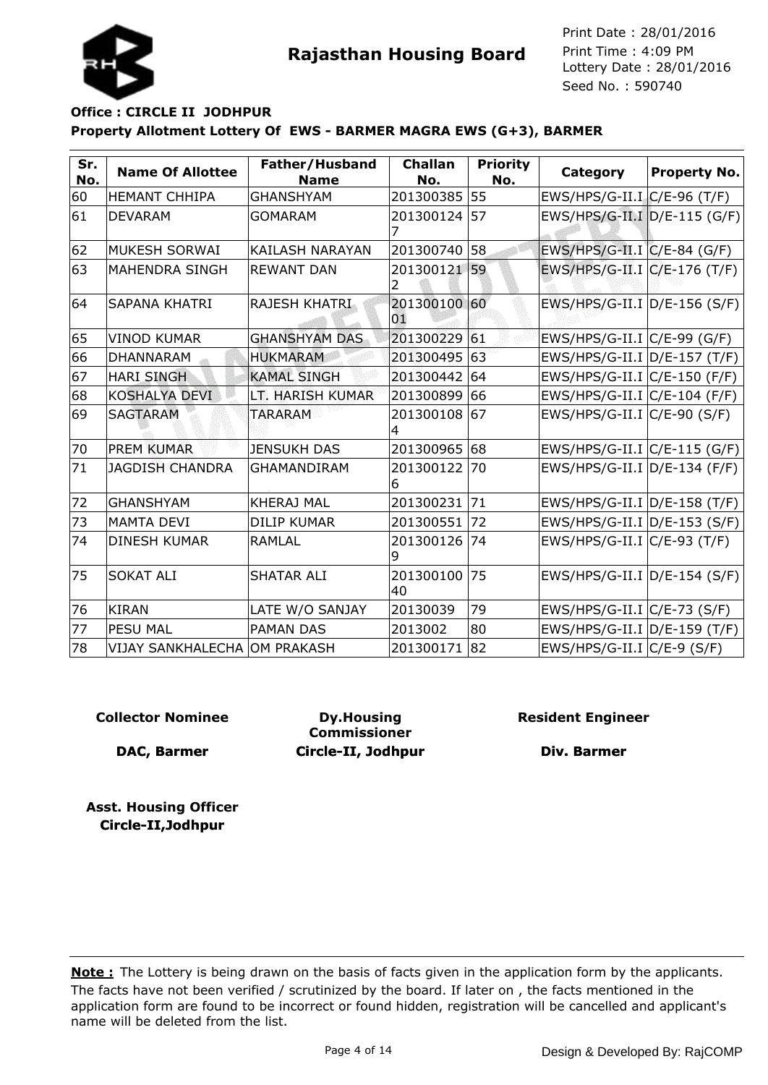



# **Property Allotment Lottery Of EWS - BARMER MAGRA EWS (G+3), BARMER Office : CIRCLE II JODHPUR**

| Sr.<br>No. | <b>Name Of Allottee</b>      | Father/Husband<br><b>Name</b> | <b>Challan</b><br>No. | <b>Priority</b><br>No. | Category                         | <b>Property No.</b> |
|------------|------------------------------|-------------------------------|-----------------------|------------------------|----------------------------------|---------------------|
| 60         | <b>HEMANT CHHIPA</b>         | <b>GHANSHYAM</b>              | 201300385             | 55                     | EWS/HPS/G-II.I. C/E-96 (T/F)     |                     |
| 61         | <b>DEVARAM</b>               | <b>GOMARAM</b>                | 201300124             | 57                     | EWS/HPS/G-II.I D/E-115 (G/F)     |                     |
| 62         | MUKESH SORWAI                | <b>KAILASH NARAYAN</b>        | 201300740             | 58                     | EWS/HPS/G-II.I C/E-84 (G/F)      |                     |
| 63         | MAHENDRA SINGH               | <b>REWANT DAN</b>             | 201300121 59          |                        | EWS/HPS/G-II.I C/E-176 (T/F)     |                     |
| 64         | ISAPANA KHATRI               | <b>RAJESH KHATRI</b>          | 201300100 60<br>01    |                        | EWS/HPS/G-II.I D/E-156 (S/F)     |                     |
| 65         | <b>VINOD KUMAR</b>           | <b>GHANSHYAM DAS</b>          | 201300229 61          |                        | EWS/HPS/G-II.I C/E-99 (G/F)      |                     |
| 66         | <b>DHANNARAM</b>             | <b>HUKMARAM</b>               | 201300495             | 63                     | EWS/HPS/G-II.I D/E-157 (T/F)     |                     |
| 67         | <b>HARI SINGH</b>            | <b>KAMAL SINGH</b>            | 201300442             | 64                     | EWS/HPS/G-II.I C/E-150 (F/F)     |                     |
| 68         | <b>KOSHALYA DEVI</b>         | LT. HARISH KUMAR              | 201300899             | 66                     | $EWS/HPS/G-II.I   C/E-104 (F/F)$ |                     |
| 69         | <b>SAGTARAM</b>              | <b>TARARAM</b>                | 201300108 67          |                        | $EWS/HPS/G-II.I   C/E-90 (S/F)$  |                     |
| 70         | <b>PREM KUMAR</b>            | <b>JENSUKH DAS</b>            | 201300965 68          |                        | $EWS/HPS/G-II.I C/E-115 (G/F)$   |                     |
| 71         | <b>JAGDISH CHANDRA</b>       | <b>GHAMANDIRAM</b>            | 201300122<br>6        | 70                     | $EWS/HPS/G-II.I   D/E-134 (F/F)$ |                     |
| 72         | <b>GHANSHYAM</b>             | <b>KHERAJ MAL</b>             | 201300231             | 71                     | EWS/HPS/G-II.I D/E-158 (T/F)     |                     |
| 73         | <b>MAMTA DEVI</b>            | <b>DILIP KUMAR</b>            | 201300551             | 72                     | EWS/HPS/G-II.I D/E-153 (S/F)     |                     |
| 74         | <b>DINESH KUMAR</b>          | <b>RAMLAL</b>                 | 201300126<br>9        | 74                     | EWS/HPS/G-II.I C/E-93 (T/F)      |                     |
| 75         | <b>SOKAT ALI</b>             | <b>SHATAR ALI</b>             | 201300100<br>40       | 75                     | EWS/HPS/G-II.I D/E-154 (S/F)     |                     |
| 76         | <b>KIRAN</b>                 | LATE W/O SANJAY               | 20130039              | 79                     | EWS/HPS/G-II.I $C/E$ -73 (S/F)   |                     |
| 77         | <b>PESU MAL</b>              | <b>PAMAN DAS</b>              | 2013002               | 80                     | EWS/HPS/G-II.I D/E-159 (T/F)     |                     |
| 78         | VIJAY SANKHALECHA OM PRAKASH |                               | 201300171             | 82                     | EWS/HPS/G-II.I $C/E-9$ (S/F)     |                     |

### **Collector Nominee**

**DAC, Barmer**

**Dy.Housing Commissioner Circle-II, Jodhpur** **Resident Engineer**

**Div. Barmer**

**Asst. Housing Officer Circle-II,Jodhpur**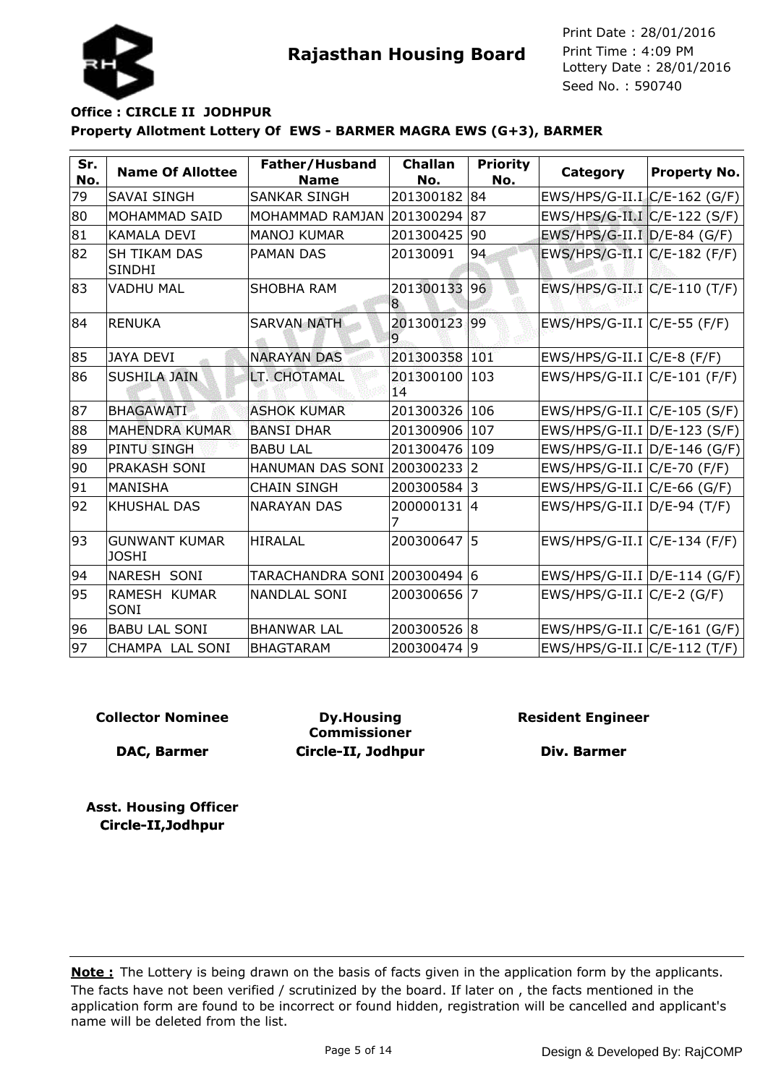

### **Property Allotment Lottery Of EWS - BARMER MAGRA EWS (G+3), BARMER Office : CIRCLE II JODHPUR**

| Sr.<br>No. | <b>Name Of Allottee</b>              | Father/Husband<br><b>Name</b> | <b>Challan</b><br>No. | <b>Priority</b><br>No. | Category                         | <b>Property No.</b> |
|------------|--------------------------------------|-------------------------------|-----------------------|------------------------|----------------------------------|---------------------|
| 79         | SAVAI SINGH                          | SANKAR SINGH                  | 201300182             | 84                     | EWS/HPS/G-II.I C/E-162 (G/F)     |                     |
| 80         | <b>MOHAMMAD SAID</b>                 | MOHAMMAD RAMJAN               | 201300294             | 87                     | EWS/HPS/G-II.I C/E-122 (S/F)     |                     |
| 81         | <b>KAMALA DEVI</b>                   | <b>MANOJ KUMAR</b>            | 201300425             | 90                     | EWS/HPS/G-II.I D/E-84 (G/F)      |                     |
| 82         | <b>SH TIKAM DAS</b><br><b>SINDHI</b> | <b>PAMAN DAS</b>              | 20130091              | 94                     | EWS/HPS/G-II.I C/E-182 (F/F)     |                     |
| 83         | <b>VADHU MAL</b>                     | <b>SHOBHA RAM</b>             | 201300133<br>8        | 96                     | EWS/HPS/G-II.I C/E-110 (T/F)     |                     |
| 84         | <b>RENUKA</b>                        | <b>SARVAN NATH</b>            | 201300123<br>9        | 99                     | $EWS/HPS/G-II.I/C/E-55(F/F)$     |                     |
| 85         | <b>JAYA DEVI</b>                     | <b>NARAYAN DAS</b>            | 201300358             | 101                    | $EWS/HPS/G-II.I/C/E-8 (F/F)$     |                     |
| 86         | <b>SUSHILA JAIN</b>                  | LT. CHOTAMAL                  | 201300100<br>14       | 103                    | $EWS/HPS/G-II.I/C/E-101 (F/F)$   |                     |
| 87         | <b>BHAGAWATI</b>                     | <b>ASHOK KUMAR</b>            | 201300326             | 106                    | $EWS/HPS/G-II.I/C/E-105 (S/F)$   |                     |
| 88         | <b>MAHENDRA KUMAR</b>                | <b>BANSI DHAR</b>             | 201300906             | 107                    | EWS/HPS/G-II.I D/E-123 (S/F)     |                     |
| 89         | <b>PINTU SINGH</b>                   | <b>BABU LAL</b>               | 201300476             | 109                    | EWS/HPS/G-II.I $D/E-146$ (G/F)   |                     |
| 90         | <b>PRAKASH SONI</b>                  | HANUMAN DAS SONI              | 200300233             | $\overline{2}$         | $EWS/HPS/G-II.I/C/E-70(F/F)$     |                     |
| 91         | IMANISHA                             | <b>CHAIN SINGH</b>            | 200300584             | l3                     | EWS/HPS/G-II.I $C/E-66$ (G/F)    |                     |
| 92         | <b>KHUSHAL DAS</b>                   | <b>NARAYAN DAS</b>            | 200000131<br>7        | 14                     | $EWS/HPS/G-II.I D/E-94(T/F)$     |                     |
| 93         | <b>GUNWANT KUMAR</b><br><b>JOSHI</b> | <b>HIRALAL</b>                | 200300647             | 5                      | EWS/HPS/G-II.I C/E-134 (F/F)     |                     |
| 94         | INARESH SONI                         |                               |                       |                        | $EWS/HPS/G-II.I   D/E-114 (G/F)$ |                     |
| 95         | RAMESH KUMAR<br>SONI                 | <b>NANDLAL SONI</b>           | 200300656             | 7                      | $EWS/HPS/G-II.I/C/E-2(G/F)$      |                     |
| 96         | <b>BABU LAL SONI</b>                 | <b>BHANWAR LAL</b>            | 200300526             | 18                     | $EWS/HPS/G-II.I/C/E-161(G/F)$    |                     |
| 97         | CHAMPA LAL SONI                      | <b>BHAGTARAM</b>              | 200300474             | 19                     | $EWS/HPS/G-II.I/C/E-112(T/F)$    |                     |

### **Collector Nominee**

**DAC, Barmer**

**Dy.Housing Commissioner Circle-II, Jodhpur** **Resident Engineer**

**Div. Barmer**

**Asst. Housing Officer Circle-II,Jodhpur**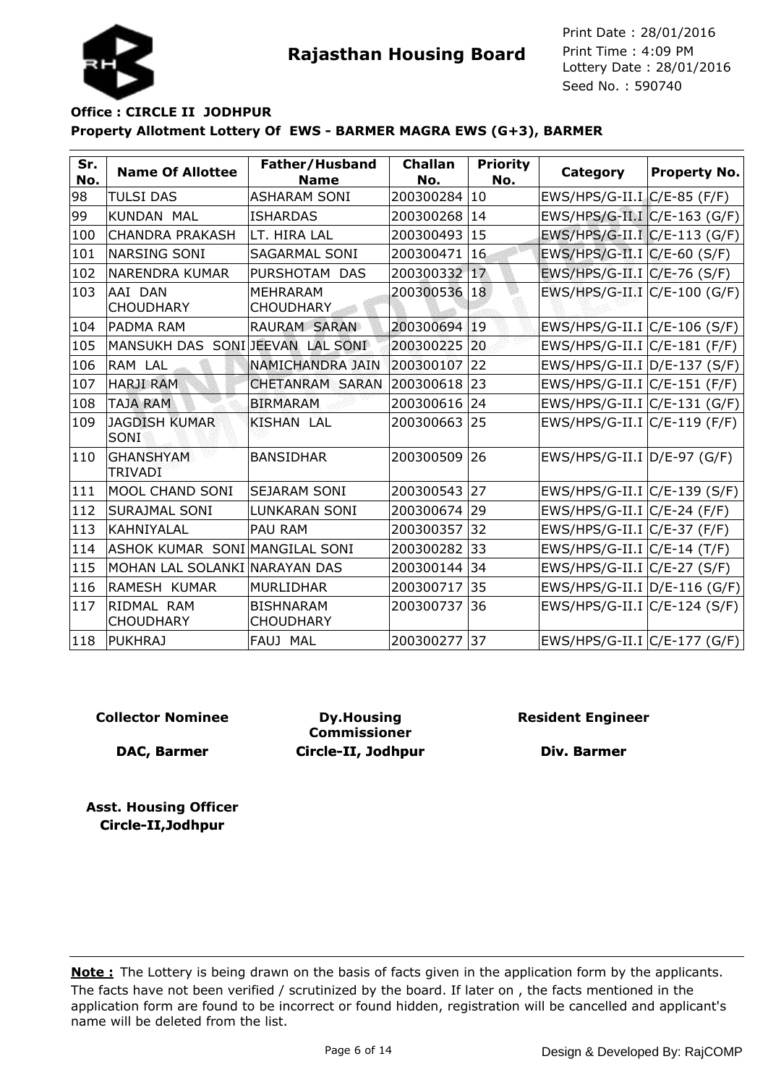

### **Property Allotment Lottery Of EWS - BARMER MAGRA EWS (G+3), BARMER Office : CIRCLE II JODHPUR**

| Sr.<br>No. | <b>Name Of Allottee</b>         | Father/Husband<br><b>Name</b>        | <b>Challan</b><br>No. | <b>Priority</b><br>No. | Category                       | <b>Property No.</b> |
|------------|---------------------------------|--------------------------------------|-----------------------|------------------------|--------------------------------|---------------------|
| 98         | <b>TULSI DAS</b>                | <b>ASHARAM SONI</b>                  | 200300284             | 10                     | $EWS/HPS/G-II.I/C/E-85 (F/F)$  |                     |
| 99         | <b>KUNDAN MAL</b>               | <b>ISHARDAS</b>                      | 200300268             | 14                     | EWS/HPS/G-II.I C/E-163 (G/F)   |                     |
| 100        | <b>CHANDRA PRAKASH</b>          | LT. HIRA LAL                         | 200300493             | 15                     | EWS/HPS/G-II.I C/E-113 (G/F)   |                     |
| 101        | <b>NARSING SONI</b>             | <b>SAGARMAL SONI</b>                 | 200300471             | 16                     | EWS/HPS/G-II.I C/E-60 (S/F)    |                     |
| 102        | <b>NARENDRA KUMAR</b>           | PURSHOTAM DAS                        | 200300332             | 17                     | EWS/HPS/G-II.I $C/E$ -76 (S/F) |                     |
| 103        | AAI DAN<br><b>CHOUDHARY</b>     | <b>MEHRARAM</b><br><b>CHOUDHARY</b>  | 200300536             | 18                     | EWS/HPS/G-II.I C/E-100 (G/F)   |                     |
| 104        | <b>PADMA RAM</b>                | RAURAM SARAN                         | 200300694             | 19                     | EWS/HPS/G-II.I C/E-106 (S/F)   |                     |
| 105        | MANSUKH DAS SONIJEEVAN LAL SONI |                                      | 200300225             | 20                     | EWS/HPS/G-II.I C/E-181 (F/F)   |                     |
| 106        | RAM LAL                         | <b>NAMICHANDRA JAIN</b>              | 200300107             | 22                     | EWS/HPS/G-II.I D/E-137 (S/F)   |                     |
| 107        | <b>HARJI RAM</b>                | <b>CHETANRAM SARAN</b>               | 200300618             | 23                     | $EWS/HPS/G-II.I/C/E-151 (F/F)$ |                     |
| 108        | <b>TAJA RAM</b>                 | <b>BIRMARAM</b>                      | 200300616             | 24                     | $EWS/HPS/G-II.I C/E-131(G/F)$  |                     |
| 109        | <b>JAGDISH KUMAR</b><br>SONI    | <b>KISHAN LAL</b>                    | 200300663             | 25                     | EWS/HPS/G-II.I C/E-119 (F/F)   |                     |
| 110        | <b>GHANSHYAM</b><br>TRIVADI     | <b>BANSIDHAR</b>                     | 200300509             | 26                     | EWS/HPS/G-II.I D/E-97 (G/F)    |                     |
| 111        | <b>MOOL CHAND SONI</b>          | <b>SEJARAM SONI</b>                  | 200300543             | 27                     | EWS/HPS/G-II.I C/E-139 (S/F)   |                     |
| 112        | <b>SURAJMAL SONI</b>            | <b>LUNKARAN SONI</b>                 | 200300674             | 29                     | $EWS/HPS/G-II.I/C/E-24 (F/F)$  |                     |
| 113        | KAHNIYALAL                      | <b>PAU RAM</b>                       | 200300357             | 32                     | $EWS/HPS/G-II.I/C/E-37 (F/F)$  |                     |
| 114        | ASHOK KUMAR SONI MANGILAL SONI  |                                      | 200300282             | 33                     | $EWS/HPS/G-II.I/C/E-14(T/F)$   |                     |
| 115        | MOHAN LAL SOLANKI NARAYAN DAS   |                                      | 200300144             | 34                     | $EWS/HPS/G-II.I/C/E-27(S/F)$   |                     |
| 116        | RAMESH KUMAR                    | <b>MURLIDHAR</b>                     | 200300717             | 35                     | EWS/HPS/G-II.I D/E-116 (G/F)   |                     |
| 117        | RIDMAL RAM<br><b>CHOUDHARY</b>  | <b>BISHNARAM</b><br><b>CHOUDHARY</b> | 200300737             | 36                     | EWS/HPS/G-II.I C/E-124 (S/F)   |                     |
| 118        | <b>PUKHRAJ</b>                  | FAUJ MAL                             | 200300277             | 37                     | $EWS/HPS/G-II.I/C/E-177(G/F)$  |                     |

### **Collector Nominee**

**DAC, Barmer**

**Dy.Housing Commissioner Circle-II, Jodhpur** **Resident Engineer**

**Div. Barmer**

**Asst. Housing Officer Circle-II,Jodhpur**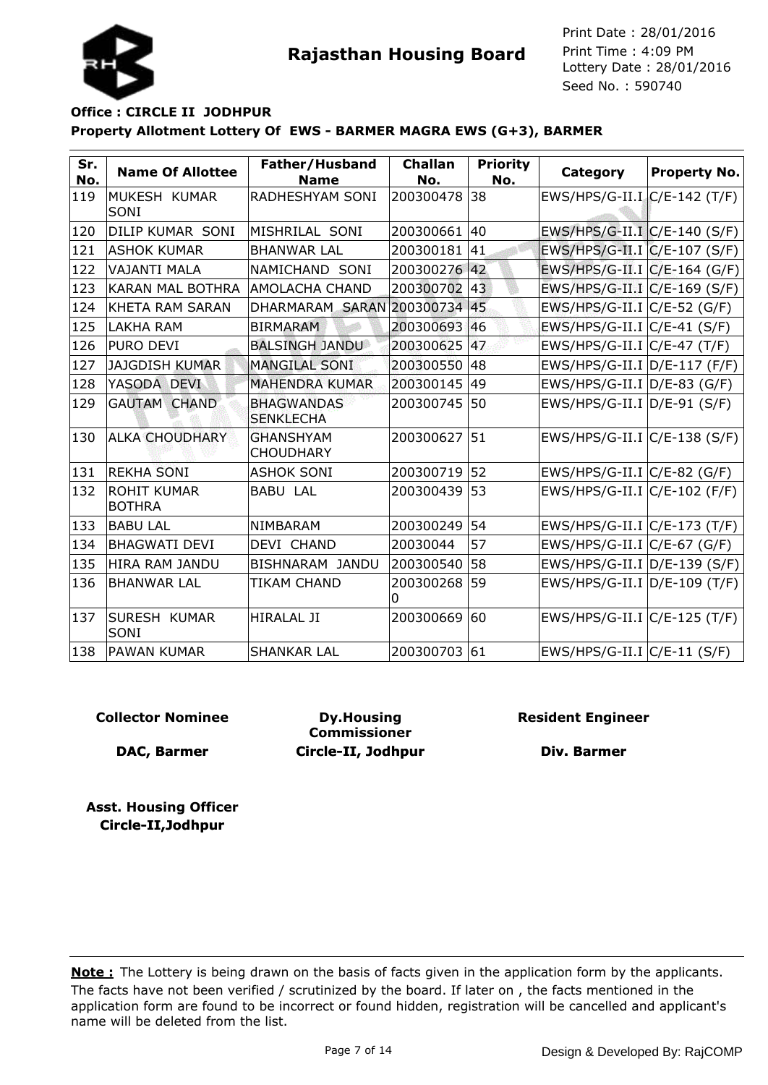



| Sr.<br>No. | <b>Name Of Allottee</b>             | Father/Husband<br><b>Name</b>         | <b>Challan</b><br>No. | <b>Priority</b><br>No. | Category                        | <b>Property No.</b> |
|------------|-------------------------------------|---------------------------------------|-----------------------|------------------------|---------------------------------|---------------------|
| 119        | MUKESH KUMAR<br>SONI                | RADHESHYAM SONI                       | 200300478             | 38                     | EWS/HPS/G-II.I C/E-142 (T/F)    |                     |
| 120        | DILIP KUMAR SONI                    | MISHRILAL SONI                        | 200300661             | 40                     | EWS/HPS/G-II.I C/E-140 (S/F)    |                     |
| 121        | <b>ASHOK KUMAR</b>                  | <b>BHANWAR LAL</b>                    | 200300181             | 41                     | EWS/HPS/G-II.I C/E-107 (S/F)    |                     |
| 122        | <b>VAJANTI MALA</b>                 | NAMICHAND SONI                        | 200300276             | 42                     | EWS/HPS/G-II.I C/E-164 (G/F)    |                     |
| 123        | <b>KARAN MAL BOTHRA</b>             | <b>AMOLACHA CHAND</b>                 | 200300702             | 43                     | EWS/HPS/G-II.I C/E-169 (S/F)    |                     |
| 124        | <b>KHETA RAM SARAN</b>              | DHARMARAM SARAN 200300734             |                       | 45                     | $EWS/HPS/G-II.I$ $C/E-52$ (G/F) |                     |
| 125        | <b>LAKHA RAM</b>                    | <b>BIRMARAM</b>                       | 200300693             | 46                     | $EWS/HPS/G-II.I C/E-41(S/F)$    |                     |
| 126        | PURO DEVI                           | <b>BALSINGH JANDU</b>                 | 200300625             | 47                     | $EWS/HPS/G-II.I~C/E-47~(T/F)$   |                     |
| 127        | <b>JAJGDISH KUMAR</b>               | <b>MANGILAL SONI</b>                  | 200300550             | 48                     | EWS/HPS/G-II.I D/E-117 (F/F)    |                     |
| 128        | YASODA DEVI                         | <b>MAHENDRA KUMAR</b>                 | 200300145             | 49                     | EWS/HPS/G-II.I $D/E-83$ (G/F)   |                     |
| 129        | <b>GAUTAM CHAND</b>                 | <b>BHAGWANDAS</b><br><b>SENKLECHA</b> | 200300745             | l50                    | $EWS/HPS/G-II.I   D/E-91 (S/F)$ |                     |
| 130        | <b>ALKA CHOUDHARY</b>               | <b>GHANSHYAM</b><br><b>CHOUDHARY</b>  | 200300627             | 51                     | EWS/HPS/G-II.I $C/E-138$ (S/F)  |                     |
| 131        | <b>REKHA SONI</b>                   | <b>ASHOK SONI</b>                     | 200300719             | 52                     | EWS/HPS/G-II.I C/E-82 (G/F)     |                     |
| 132        | <b>ROHIT KUMAR</b><br><b>BOTHRA</b> | <b>BABU LAL</b>                       | 200300439             | 53                     | EWS/HPS/G-II.I C/E-102 (F/F)    |                     |
| 133        | <b>BABU LAL</b>                     | NIMBARAM                              | 200300249             | 54                     | EWS/HPS/G-II.I C/E-173 (T/F)    |                     |
| 134        | <b>BHAGWATI DEVI</b>                | DEVI CHAND                            | 20030044              | 57                     | EWS/HPS/G-II.I $C/E$ -67 (G/F)  |                     |
| 135        | <b>HIRA RAM JANDU</b>               | BISHNARAM JANDU                       | 200300540             | 58                     | EWS/HPS/G-II.I D/E-139 (S/F)    |                     |
| 136        | <b>BHANWAR LAL</b>                  | TIKAM CHAND                           | 200300268<br>ი        | 59                     | EWS/HPS/G-II.I D/E-109 (T/F)    |                     |
| 137        | <b>SURESH KUMAR</b><br>SONI         | <b>HIRALAL JI</b>                     | 200300669             | 60                     | EWS/HPS/G-II.I C/E-125 (T/F)    |                     |
| 138        | <b>PAWAN KUMAR</b>                  | <b>SHANKAR LAL</b>                    | 200300703             | 61                     | $EWS/HPS/G-II.I   C/E-11 (S/F)$ |                     |

### **Collector Nominee**

**DAC, Barmer**

**Dy.Housing Commissioner Circle-II, Jodhpur** **Resident Engineer**

**Div. Barmer**

**Asst. Housing Officer Circle-II,Jodhpur**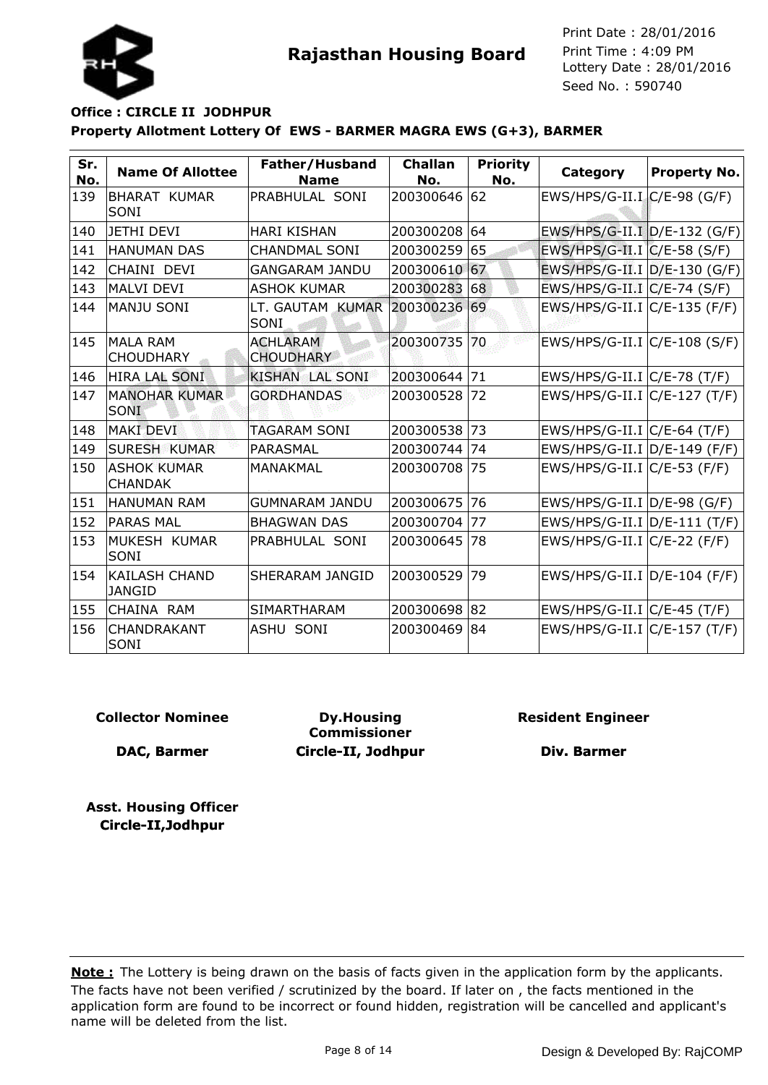



| Sr.<br>No. | <b>Name Of Allottee</b>               | Father/Husband<br><b>Name</b>         | <b>Challan</b><br>No. | <b>Priority</b><br>No. | <b>Category</b>                 | Property No. |
|------------|---------------------------------------|---------------------------------------|-----------------------|------------------------|---------------------------------|--------------|
| 139        | <b>BHARAT KUMAR</b><br>SONI           | PRABHULAL SONI                        | 200300646             | 162                    | $EWS/HPS/G-II.I.C/E-98 (G/F)$   |              |
| 140        | JETHI DEVI                            | <b>HARI KISHAN</b>                    | 200300208 64          |                        | EWS/HPS/G-II.I D/E-132 (G/F)    |              |
| 141        | HANUMAN DAS                           | <b>CHANDMAL SONI</b>                  | 200300259             | 65                     | EWS/HPS/G-II.I C/E-58 (S/F)     |              |
| 142        | CHAINI DEVI                           | <b>GANGARAM JANDU</b>                 | 200300610 67          |                        | EWS/HPS/G-II.I D/E-130 (G/F)    |              |
| 143        | MALVI DEVI                            | <b>ASHOK KUMAR</b>                    | 200300283             | 68                     | EWS/HPS/G-II.I C/E-74 (S/F)     |              |
| 144        | MANJU SONI                            | LT. GAUTAM KUMAR 200300236 69<br>SONI |                       |                        | EWS/HPS/G-II.I C/E-135 (F/F)    |              |
| 145        | MALA RAM<br><b>CHOUDHARY</b>          | <b>ACHLARAM</b><br><b>CHOUDHARY</b>   | 200300735 70          |                        | EWS/HPS/G-II.I C/E-108 (S/F)    |              |
| 146        | HIRA LAL SONI                         | <b>KISHAN LAL SONI</b>                | 200300644             | 71                     | EWS/HPS/G-II.I C/E-78 (T/F)     |              |
| 147        | <b>MANOHAR KUMAR</b><br><b>SONI</b>   | <b>GORDHANDAS</b>                     | 200300528             | 72                     | EWS/HPS/G-II.I C/E-127 (T/F)    |              |
| 148        | <b>MAKI DEVI</b>                      | <b>TAGARAM SONI</b>                   | 200300538             | 73                     | EWS/HPS/G-II.I   C/E-64 (T/F)   |              |
| 149        | <b>SURESH KUMAR</b>                   | PARASMAL                              | 200300744             | 74                     | EWS/HPS/G-II.I D/E-149 (F/F)    |              |
| 150        | <b>ASHOK KUMAR</b><br><b>CHANDAK</b>  | MANAKMAL                              | 200300708             | 75                     | EWS/HPS/G-II.I $C/E$ -53 (F/F)  |              |
| 151        | IHANUMAN RAM                          | <b>GUMNARAM JANDU</b>                 | 200300675             | 176                    | $EWS/HPS/G-II.I   D/E-98 (G/F)$ |              |
| 152        | <b>PARAS MAL</b>                      | <b>BHAGWAN DAS</b>                    | 200300704             | 77                     | EWS/HPS/G-II.I D/E-111 (T/F)    |              |
| 153        | MUKESH KUMAR<br>ISONI                 | PRABHULAL SONI                        | 200300645             | 78                     | $EWS/HPS/G-II.I C/E-22 (F/F)$   |              |
| 154        | <b>KAILASH CHAND</b><br><b>JANGID</b> | SHERARAM JANGID                       | 200300529             | 79                     | EWS/HPS/G-II.I D/E-104 (F/F)    |              |
| 155        | CHAINA RAM                            | <b>SIMARTHARAM</b>                    | 200300698 82          |                        | $EWS/HPS/G-II.I C/E-45(T/F)$    |              |
| 156        | CHANDRAKANT<br>SONI                   | ASHU SONI                             | 200300469             | 84                     | EWS/HPS/G-II.I C/E-157 (T/F)    |              |

### **Collector Nominee**

**DAC, Barmer**

**Dy.Housing Commissioner Circle-II, Jodhpur** **Resident Engineer**

**Div. Barmer**

**Asst. Housing Officer Circle-II,Jodhpur**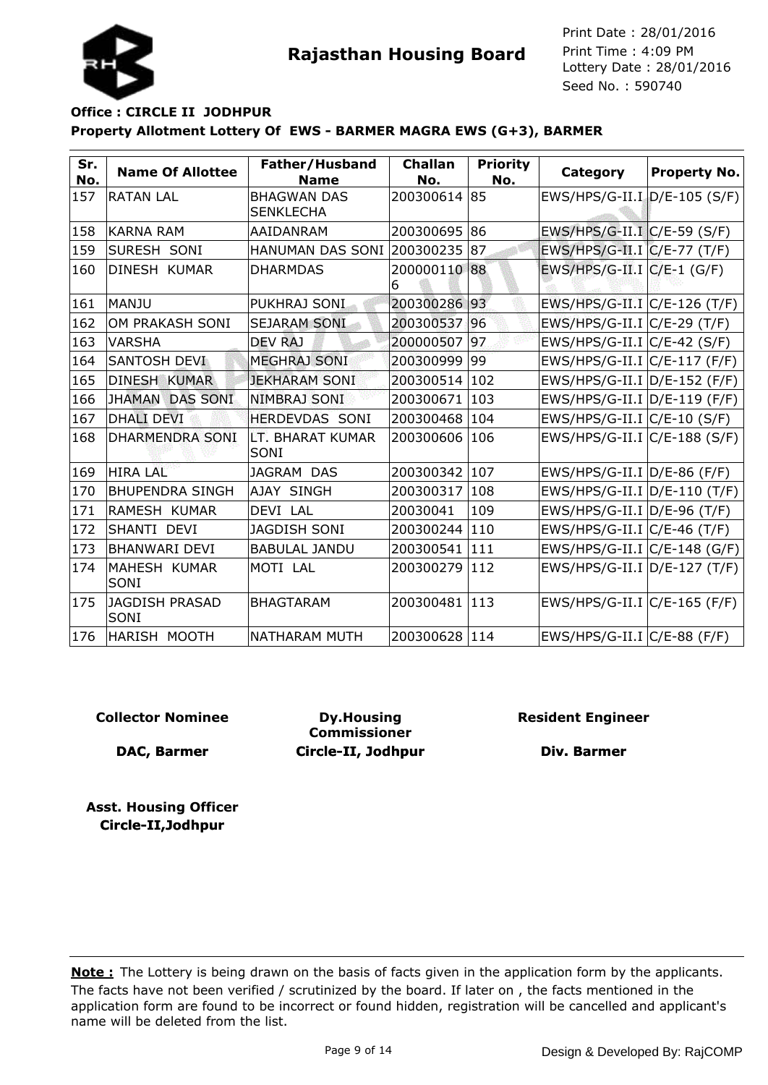



| Sr.<br>No. | <b>Name Of Allottee</b> | Father/Husband<br><b>Name</b>          | <b>Challan</b><br>No. | <b>Priority</b><br>No. | <b>Category</b>                | Property No. |
|------------|-------------------------|----------------------------------------|-----------------------|------------------------|--------------------------------|--------------|
| 157        | <b>RATAN LAL</b>        | <b>BHAGWAN DAS</b><br><b>SENKLECHA</b> | 200300614 85          |                        | EWS/HPS/G-II.I D/E-105 (S/F)   |              |
| 158        | KARNA RAM               | AAIDANRAM                              | 200300695             | 86                     | EWS/HPS/G-II.I C/E-59 (S/F)    |              |
| 159        | <b>SURESH SONI</b>      | <b>HANUMAN DAS SONI 200300235</b>      |                       | 187                    | EWS/HPS/G-II.I C/E-77 (T/F)    |              |
| 160        | DINESH KUMAR            | <b>DHARMDAS</b>                        | 200000110 88<br>6     |                        | EWS/HPS/G-II.I $C/E-1$ (G/F)   |              |
| 161        | MANJU                   | PUKHRAJ SONI                           | 200300286             | 93                     | EWS/HPS/G-II.I C/E-126 (T/F)   |              |
| 162        | OM PRAKASH SONI         | <b>SEJARAM SONI</b>                    | 200300537 96          |                        | EWS/HPS/G-II.I C/E-29 (T/F)    |              |
| 163        | <b>VARSHA</b>           | <b>DEV RAJ</b>                         | 200000507             | 97                     | $EWS/HPS/G-II.I C/E-42(S/F)$   |              |
| 164        | SANTOSH DEVI            | <b>MEGHRAJ SONI</b>                    | 200300999             | $ 99\rangle$           | EWS/HPS/G-II.I C/E-117 (F/F)   |              |
| 165        | <b>DINESH KUMAR</b>     | <b>JEKHARAM SONI</b>                   | 200300514             | 102                    | EWS/HPS/G-II.I D/E-152 (F/F)   |              |
| 166        | JHAMAN DAS SONI         | <b>NIMBRAJ SONI</b>                    | 200300671             | 103                    | EWS/HPS/G-II.I D/E-119 (F/F)   |              |
| 167        | <b>DHALI DEVI</b>       | <b>HERDEVDAS SONI</b>                  | 200300468             | 104                    | EWS/HPS/G-II.I C/E-10 (S/F)    |              |
| 168        | <b>DHARMENDRA SONI</b>  | LT. BHARAT KUMAR<br>SONI               | 200300606             | 106                    | EWS/HPS/G-II.I C/E-188 (S/F)   |              |
| 169        | <b>HIRA LAL</b>         | JAGRAM DAS                             | 200300342             | 107                    | $EWS/HPS/G-II.I  D/E-86 (F/F)$ |              |
| 170        | <b>BHUPENDRA SINGH</b>  | AJAY SINGH                             | 200300317             | 108                    | EWS/HPS/G-II.I D/E-110 (T/F)   |              |
| 171        | RAMESH KUMAR            | DEVI LAL                               | 20030041              | 109                    | $EWS/HPS/G-II.I  D/E-96 (T/F)$ |              |
| 172        | ISHANTI DEVI            | <b>JAGDISH SONI</b>                    | 200300244             | 110                    | $EWS/HPS/G-II.I~C/E-46 (T/F)$  |              |
| 173        | <b>BHANWARI DEVI</b>    | <b>BABULAL JANDU</b>                   | 200300541             | 111                    | EWS/HPS/G-II.I  C/E-148 (G/F)  |              |
| 174        | MAHESH KUMAR<br>SONI    | MOTI LAL                               | 200300279             | 112                    | EWS/HPS/G-II.I D/E-127 (T/F)   |              |
| 175        | JAGDISH PRASAD<br>lsoni | <b>BHAGTARAM</b>                       | 200300481             | 113                    | EWS/HPS/G-II.I C/E-165 (F/F)   |              |
| 176        | HARISH MOOTH            | NATHARAM MUTH                          | 200300628 114         |                        | $EWS/HPS/G-II.I~C/E-88$ (F/F)  |              |

### **Collector Nominee**

**DAC, Barmer**

**Dy.Housing Commissioner Circle-II, Jodhpur** **Resident Engineer**

**Div. Barmer**

**Asst. Housing Officer Circle-II,Jodhpur**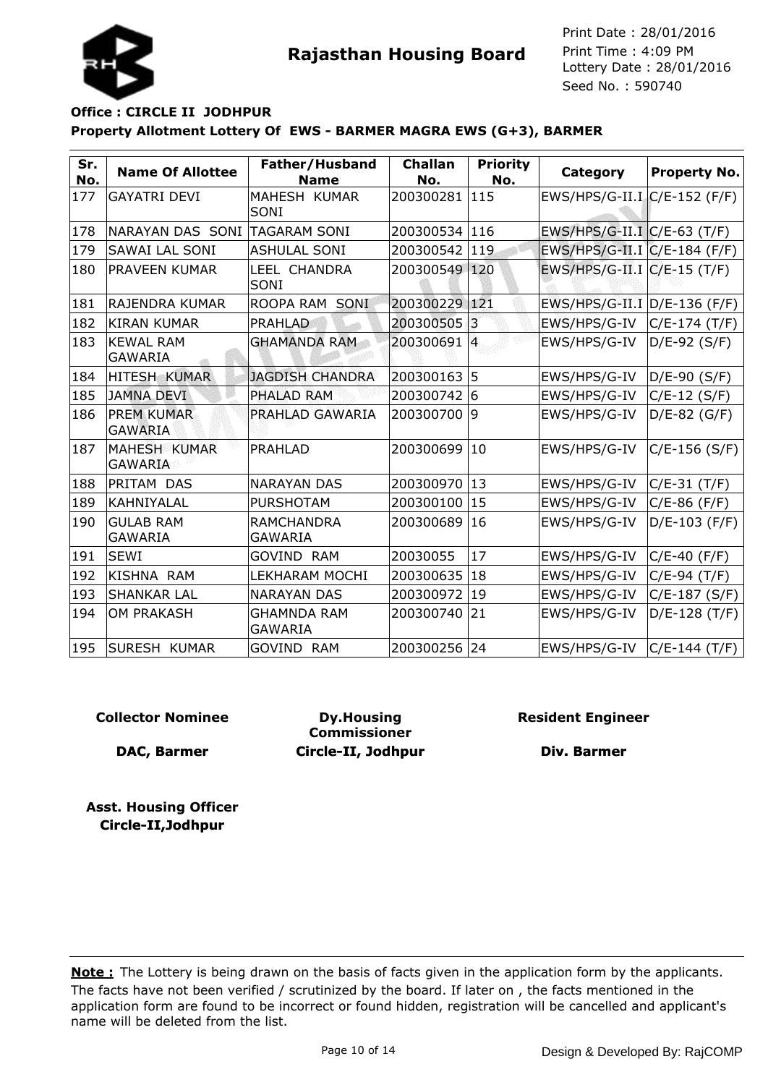



| Sr.<br>No. | <b>Name Of Allottee</b>               | Father/Husband<br><b>Name</b>        | <b>Challan</b><br>No. | <b>Priority</b><br>No. | Category                       | <b>Property No.</b> |
|------------|---------------------------------------|--------------------------------------|-----------------------|------------------------|--------------------------------|---------------------|
| 177        | <b>GAYATRI DEVI</b>                   | MAHESH KUMAR<br>SONI                 | 200300281             | 115                    | EWS/HPS/G-II.I. C/E-152 (F/F)  |                     |
| 178        | NARAYAN DAS SONI TAGARAM SONI         |                                      | 200300534 116         |                        | EWS/HPS/G-II.I C/E-63 (T/F)    |                     |
| 179        | <b>SAWAI LAL SONI</b>                 | <b>ASHULAL SONI</b>                  | 200300542             | 119                    | EWS/HPS/G-II.I C/E-184 (F/F)   |                     |
| 180        | <b>PRAVEEN KUMAR</b>                  | LEEL CHANDRA<br>SONI                 | 200300549 120         |                        | EWS/HPS/G-II.I C/E-15 (T/F)    |                     |
| 181        | RAJENDRA KUMAR                        | ROOPA RAM SONI                       | 200300229 121         |                        | EWS/HPS/G-II.I   D/E-136 (F/F) |                     |
| 182        | <b>KIRAN KUMAR</b>                    | <b>PRAHLAD</b>                       | 200300505             | 3                      | EWS/HPS/G-IV                   | C/E-174 (T/F)       |
| 183        | <b>KEWAL RAM</b><br><b>GAWARIA</b>    | <b>GHAMANDA RAM</b>                  | 200300691             | $\overline{4}$         | EWS/HPS/G-IV                   | $D/E-92$ (S/F)      |
| 184        | <b>HITESH KUMAR</b>                   | <b>JAGDISH CHANDRA</b>               | 200300163 5           |                        | EWS/HPS/G-IV                   | D/E-90 (S/F)        |
| 185        | <b>JAMNA DEVI</b>                     | PHALAD RAM                           | 200300742             | 16                     | EWS/HPS/G-IV                   | $C/E-12(S/F)$       |
| 186        | <b>PREM KUMAR</b><br><b>GAWARIA</b>   | PRAHLAD GAWARIA                      | 200300700             | 9                      | EWS/HPS/G-IV                   | $D/E-82$ (G/F)      |
| 187        | <b>MAHESH KUMAR</b><br><b>GAWARIA</b> | <b>PRAHLAD</b>                       | 200300699             | 10                     | EWS/HPS/G-IV                   | $C/E-156 (S/F)$     |
| 188        | <b>PRITAM DAS</b>                     | <b>NARAYAN DAS</b>                   | 200300970 13          |                        | EWS/HPS/G-IV                   | $C/E-31(T/F)$       |
| 189        | KAHNIYALAL                            | <b>PURSHOTAM</b>                     | 200300100             | 15                     | EWS/HPS/G-IV                   | $C/E-86$ (F/F)      |
| 190        | <b>GULAB RAM</b><br><b>GAWARIA</b>    | <b>RAMCHANDRA</b><br><b>GAWARIA</b>  | 200300689             | 16                     | EWS/HPS/G-IV                   | $D/E-103$ (F/F)     |
| 191        | <b>SEWI</b>                           | <b>GOVIND RAM</b>                    | 20030055              | 17                     | EWS/HPS/G-IV                   | C/E-40 (F/F)        |
| 192        | KISHNA RAM                            | LEKHARAM MOCHI                       | 200300635             | 18                     | EWS/HPS/G-IV                   | $C/E-94$ (T/F)      |
| 193        | <b>SHANKAR LAL</b>                    | <b>NARAYAN DAS</b>                   | 200300972             | 19                     | EWS/HPS/G-IV                   | $C/E-187 (S/F)$     |
| 194        | <b>OM PRAKASH</b>                     | <b>GHAMNDA RAM</b><br><b>GAWARIA</b> | 200300740             | 21                     | EWS/HPS/G-IV                   | $D/E-128$ (T/F)     |
| 195        | <b>SURESH KUMAR</b>                   | <b>GOVIND RAM</b>                    | 200300256 24          |                        | EWS/HPS/G-IV                   | $ C/E-144(T/F) $    |

### **Collector Nominee**

**DAC, Barmer**

**Dy.Housing Commissioner Circle-II, Jodhpur** **Resident Engineer**

**Div. Barmer**

**Asst. Housing Officer Circle-II,Jodhpur**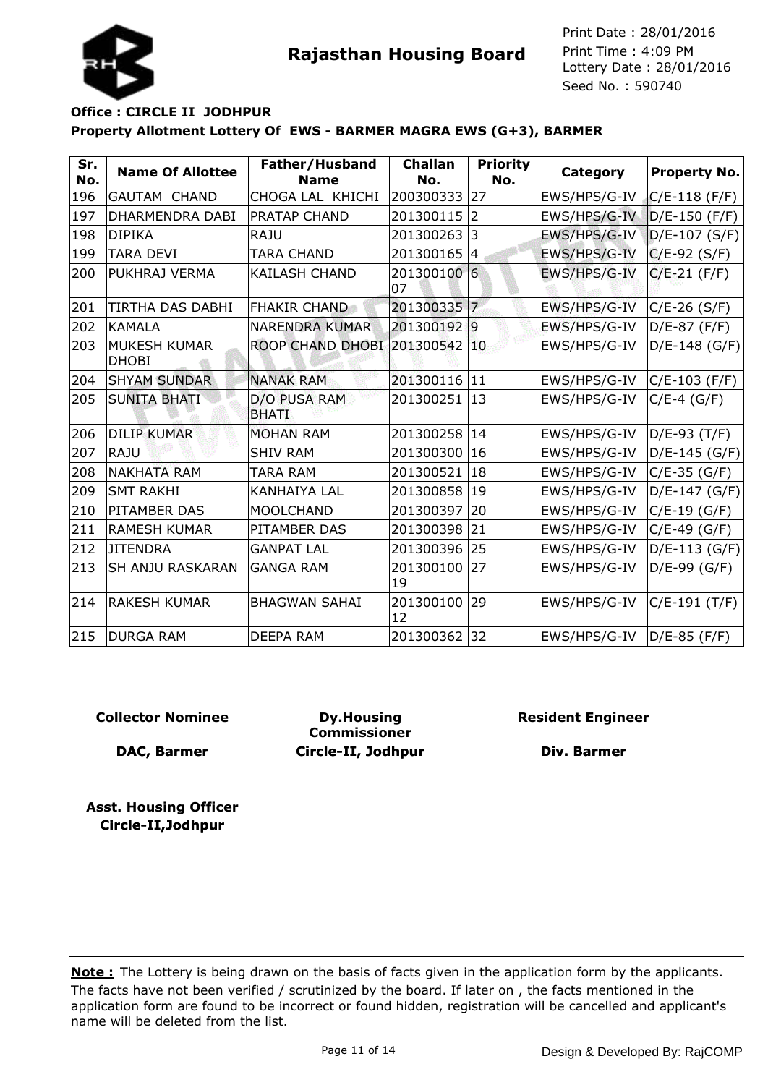

### **Property Allotment Lottery Of EWS - BARMER MAGRA EWS (G+3), BARMER Office : CIRCLE II JODHPUR**

| Sr.<br>No. | <b>Name Of Allottee</b>      | Father/Husband<br><b>Name</b> | <b>Challan</b><br>No. | <b>Priority</b><br>No. | Category     | Property No.    |
|------------|------------------------------|-------------------------------|-----------------------|------------------------|--------------|-----------------|
| 196        | <b>GAUTAM CHAND</b>          | CHOGA LAL KHICHI              | 200300333             | 27                     | EWS/HPS/G-IV | $C/E-118$ (F/F) |
| 197        | <b>DHARMENDRA DABI</b>       | <b>PRATAP CHAND</b>           | 201300115             | $\overline{2}$         | EWS/HPS/G-IV | $D/E-150$ (F/F) |
| 198        | <b>DIPIKA</b>                | <b>RAJU</b>                   | 201300263             | 3                      | EWS/HPS/G-IV | $D/E-107 (S/F)$ |
| 199        | TARA DEVI                    | TARA CHAND                    | 201300165             | 4                      | EWS/HPS/G-IV | $C/E-92$ (S/F)  |
| 200        | PUKHRAJ VERMA                | <b>KAILASH CHAND</b>          | 201300100 6<br>07     |                        | EWS/HPS/G-IV | $C/E-21$ (F/F)  |
| 201        | <b>TIRTHA DAS DABHI</b>      | <b>FHAKIR CHAND</b>           | 201300335             | $\overline{7}$         | EWS/HPS/G-IV | $C/E-26$ (S/F)  |
| 202        | <b>KAMALA</b>                | <b>NARENDRA KUMAR</b>         | 2013001929            |                        | EWS/HPS/G-IV | D/E-87 (F/F)    |
| 203        | MUKESH KUMAR<br><b>DHOBI</b> | <b>ROOP CHAND DHOBI</b>       | 201300542             | 10                     | EWS/HPS/G-IV | $D/E-148(G/F)$  |
| 204        | <b>SHYAM SUNDAR</b>          | <b>NANAK RAM</b>              | 201300116             | 11                     | EWS/HPS/G-IV | $C/E-103$ (F/F) |
| 205        | <b>SUNITA BHATI</b>          | D/O PUSA RAM<br><b>BHATI</b>  | 201300251             | 13                     | EWS/HPS/G-IV | $C/E-4$ (G/F)   |
| 206        | <b>DILIP KUMAR</b>           | <b>MOHAN RAM</b>              | 201300258             | 14                     | EWS/HPS/G-IV | D/E-93 (T/F)    |
| 207        | RAJU                         | <b>SHIV RAM</b>               | 201300300             | 16                     | EWS/HPS/G-IV | D/E-145 (G/F)   |
| 208        | <b>NAKHATA RAM</b>           | TARA RAM                      | 201300521             | 18                     | EWS/HPS/G-IV | $C/E-35$ (G/F)  |
| 209        | <b>SMT RAKHI</b>             | <b>KANHAIYA LAL</b>           | 201300858             | 19                     | EWS/HPS/G-IV | $D/E-147 (G/F)$ |
| 210        | PITAMBER DAS                 | <b>MOOLCHAND</b>              | 201300397             | 20                     | EWS/HPS/G-IV | $C/E-19$ (G/F)  |
| 211        | <b>RAMESH KUMAR</b>          | <b>PITAMBER DAS</b>           | 201300398             | 21                     | EWS/HPS/G-IV | $C/E-49$ (G/F)  |
| 212        | <b>JITENDRA</b>              | <b>GANPAT LAL</b>             | 201300396             | 25                     | EWS/HPS/G-IV | D/E-113 (G/F)   |
| 213        | SH ANJU RASKARAN             | <b>GANGA RAM</b>              | 201300100<br>19       | 27                     | EWS/HPS/G-IV | $D/E-99$ (G/F)  |
| 214        | RAKESH KUMAR                 | <b>BHAGWAN SAHAI</b>          | 201300100<br>12       | 29                     | EWS/HPS/G-IV | $C/E-191(T/F)$  |
| 215        | <b>DURGA RAM</b>             | <b>DEEPA RAM</b>              | 201300362 32          |                        | EWS/HPS/G-IV | D/E-85 (F/F)    |

### **Collector Nominee**

**DAC, Barmer**

**Dy.Housing Commissioner Circle-II, Jodhpur** **Resident Engineer**

**Div. Barmer**

**Asst. Housing Officer Circle-II,Jodhpur**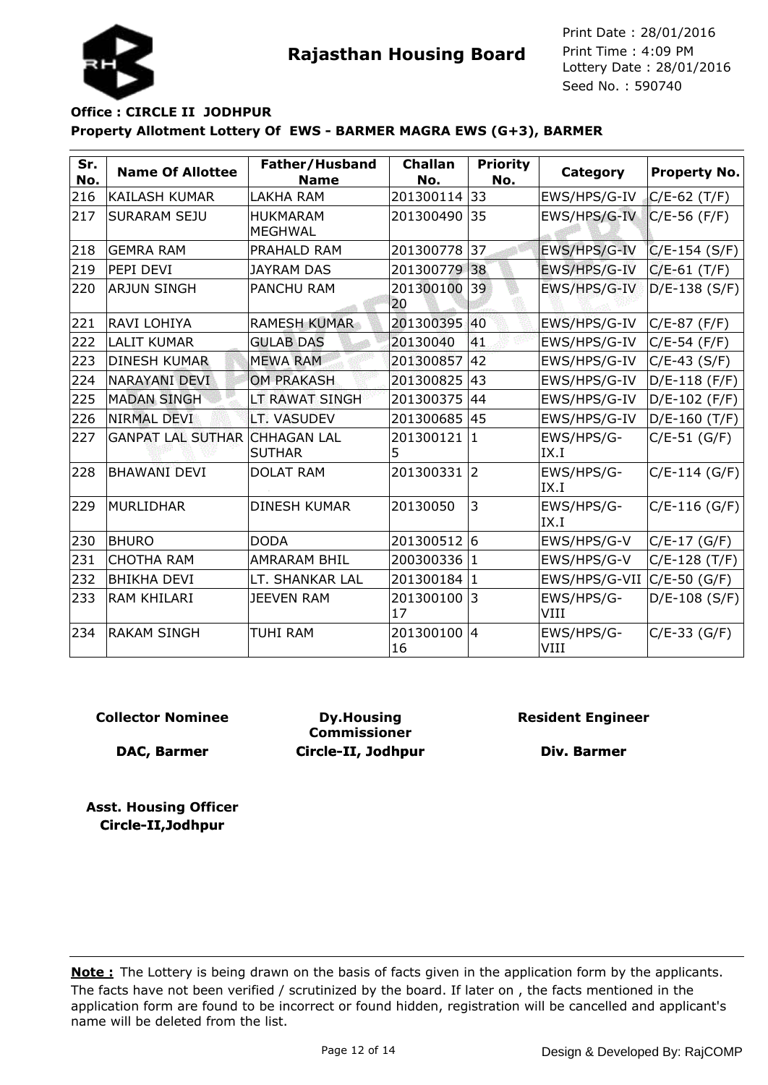

# **Property Allotment Lottery Of EWS - BARMER MAGRA EWS (G+3), BARMER Office : CIRCLE II JODHPUR**

| Sr.<br>No. | <b>Name Of Allottee</b>  | Father/Husband<br><b>Name</b>       | <b>Challan</b><br>No. | <b>Priority</b><br>No. | Category           | Property No.    |
|------------|--------------------------|-------------------------------------|-----------------------|------------------------|--------------------|-----------------|
| 216        | <b>KAILASH KUMAR</b>     | <b>LAKHA RAM</b>                    | 201300114             | 33                     | EWS/HPS/G-IV       | $C/E-62$ (T/F)  |
| 217        | <b>SURARAM SEJU</b>      | <b>HUKMARAM</b><br><b>MEGHWAL</b>   | 201300490             | 35                     | EWS/HPS/G-IV       | $C/E-56$ (F/F)  |
| 218        | <b>GEMRA RAM</b>         | PRAHALD RAM                         | 201300778             | 37                     | EWS/HPS/G-IV       | $C/E-154 (S/F)$ |
| 219        | PEPI DEVI                | <b>JAYRAM DAS</b>                   | 201300779             | 38                     | EWS/HPS/G-IV       | $C/E-61$ (T/F)  |
| 220        | <b>ARJUN SINGH</b>       | <b>PANCHU RAM</b>                   | 201300100<br>20       | 39                     | EWS/HPS/G-IV       | $D/E-138$ (S/F) |
| 221        | RAVI LOHIYA              | <b>RAMESH KUMAR</b>                 | 201300395             | 40                     | EWS/HPS/G-IV       | $C/E-87$ (F/F)  |
| 222        | <b>LALIT KUMAR</b>       | <b>GULAB DAS</b>                    | 20130040              | 41                     | EWS/HPS/G-IV       | $C/E-54$ (F/F)  |
| 223        | <b>DINESH KUMAR</b>      | <b>MEWA RAM</b>                     | 201300857             | 42                     | EWS/HPS/G-IV       | $C/E-43 (S/F)$  |
| 224        | <b>NARAYANI DEVI</b>     | <b>OM PRAKASH</b>                   | 201300825             | 43                     | EWS/HPS/G-IV       | $D/E-118$ (F/F) |
| 225        | <b>MADAN SINGH</b>       | LT RAWAT SINGH                      | 201300375             | 44                     | EWS/HPS/G-IV       | D/E-102 (F/F)   |
| 226        | <b>NIRMAL DEVI</b>       | LT. VASUDEV                         | 201300685             | 45                     | EWS/HPS/G-IV       | $D/E-160$ (T/F) |
| 227        | <b>GANPAT LAL SUTHAR</b> | <b>CHHAGAN LAL</b><br><b>SUTHAR</b> | 201300121<br>5        | $\mathbf{1}$           | EWS/HPS/G-<br>IX.I | $C/E-51$ (G/F)  |
| 228        | <b>BHAWANI DEVI</b>      | <b>DOLAT RAM</b>                    | 201300331             | $\overline{2}$         | EWS/HPS/G-<br>IX.I | $C/E-114(G/F)$  |
| 229        | <b>MURLIDHAR</b>         | <b>DINESH KUMAR</b>                 | 20130050              | 3                      | EWS/HPS/G-<br>IX.I | $C/E-116(G/F)$  |
| 230        | <b>BHURO</b>             | <b>DODA</b>                         | 201300512 6           |                        | EWS/HPS/G-V        | $C/E-17(G/F)$   |
| 231        | <b>CHOTHA RAM</b>        | <b>AMRARAM BHIL</b>                 | 200300336             | 1                      | EWS/HPS/G-V        | $C/E-128(T/F)$  |
| 232        | <b>BHIKHA DEVI</b>       | LT. SHANKAR LAL                     | 201300184             | 1                      | EWS/HPS/G-VII      | $C/E$ -50 (G/F) |
| 233        | <b>RAM KHILARI</b>       | <b>JEEVEN RAM</b>                   | 201300100<br>17       | 13                     | EWS/HPS/G-<br>VIII | $D/E-108$ (S/F) |
| 234        | <b>RAKAM SINGH</b>       | <b>TUHI RAM</b>                     | 201300100 4<br>16     |                        | EWS/HPS/G-<br>VIII | $C/E-33(G/F)$   |

### **Collector Nominee**

**DAC, Barmer**

**Dy.Housing Commissioner Circle-II, Jodhpur** **Resident Engineer**

**Div. Barmer**

**Asst. Housing Officer Circle-II,Jodhpur**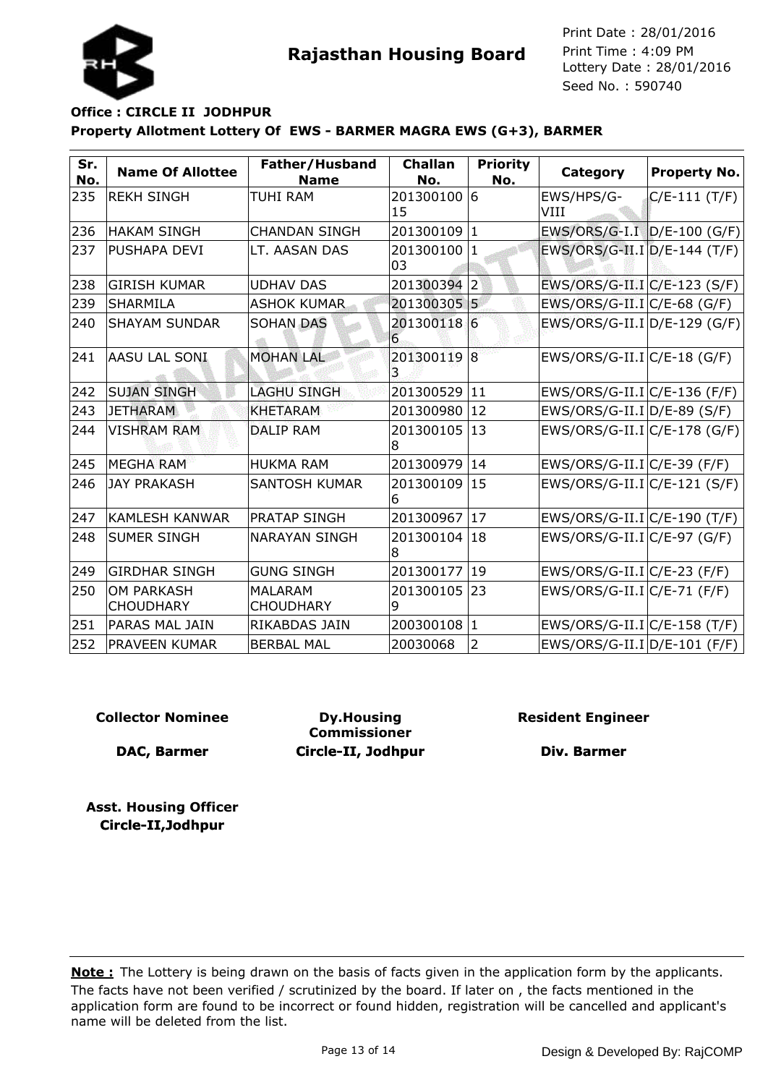



### **Property Allotment Lottery Of EWS - BARMER MAGRA EWS (G+3), BARMER Office : CIRCLE II JODHPUR**

| Sr.<br>No. | <b>Name Of Allottee</b>               | Father/Husband<br><b>Name</b>      | <b>Challan</b><br>No. | <b>Priority</b><br>No. | Category                       | <b>Property No.</b> |
|------------|---------------------------------------|------------------------------------|-----------------------|------------------------|--------------------------------|---------------------|
| 235        | <b>REKH SINGH</b>                     | <b>TUHI RAM</b>                    | 201300100<br>15       | 6                      | EWS/HPS/G-<br>VIII             | $C/E-111 (T/F)$     |
| 236        | <b>HAKAM SINGH</b>                    | <b>CHANDAN SINGH</b>               | 201300109             | 1                      | EWS/ORS/G-I.I D/E-100 (G/F)    |                     |
| 237        | PUSHAPA DEVI                          | LT. AASAN DAS                      | 201300100<br>03       | $\vert$ 1              | EWS/ORS/G-II.I D/E-144 (T/F)   |                     |
| 238        | <b>GIRISH KUMAR</b>                   | <b>UDHAV DAS</b>                   | 201300394             | $\overline{2}$         | $EWS/ORS/G-II.I C/E-123(S/F)$  |                     |
| 239        | <b>SHARMILA</b>                       | <b>ASHOK KUMAR</b>                 | 201300305 5           |                        | $EWS/ORS/G-II.I C/E-68(G/F)$   |                     |
| 240        | <b>SHAYAM SUNDAR</b>                  | <b>SOHAN DAS</b>                   | 201300118 6<br>6      |                        | $EWS/ORS/G-II.I D/E-129(G/F)$  |                     |
| 241        | <b>AASU LAL SONI</b>                  | <b>MOHAN LAL</b>                   | 201300119<br>3        | $\overline{8}$         | $EWS/ORS/G-II.I C/E-18(G/F)$   |                     |
| 242        | <b>SUJAN SINGH</b>                    | <b>LAGHU SINGH</b>                 | 201300529             | 11                     | $EWS/ORS/G-II.I/C/E-136 (F/F)$ |                     |
| 243        | <b>JETHARAM</b>                       | <b>KHETARAM</b>                    | 201300980             | 12                     | $EWS/ORS/G-II.I D/E-89(S/F)$   |                     |
| 244        | <b>VISHRAM RAM</b>                    | <b>DALIP RAM</b>                   | 201300105<br>8        | 13                     | EWS/ORS/G-II.I C/E-178 (G/F)   |                     |
| 245        | <b>MEGHA RAM</b>                      | <b>HUKMA RAM</b>                   | 201300979             | 14                     | $EWS/ORS/G-II.I/C/E-39 (F/F)$  |                     |
| 246        | <b>JAY PRAKASH</b>                    | <b>SANTOSH KUMAR</b>               | 201300109<br>6        | 15                     | $EWS/ORS/G-II.I C/E-121(S/F)$  |                     |
| 247        | KAMLESH KANWAR                        | <b>PRATAP SINGH</b>                | 201300967             | 17                     | EWS/ORS/G-II.I C/E-190 (T/F)   |                     |
| 248        | <b>SUMER SINGH</b>                    | <b>NARAYAN SINGH</b>               | 201300104<br>8        | 18                     | $EWS/ORS/G-II.I C/E-97 (G/F)$  |                     |
| 249        | <b>GIRDHAR SINGH</b>                  | <b>GUNG SINGH</b>                  | 201300177             | 19                     | $EWS/ORS/G-II.I/C/E-23 (F/F)$  |                     |
| 250        | <b>OM PARKASH</b><br><b>CHOUDHARY</b> | <b>MALARAM</b><br><b>CHOUDHARY</b> | 201300105<br>9        | 23                     | $EWS/ORS/G-II.I C/E-71 (F/F)$  |                     |
| 251        | PARAS MAL JAIN                        | RIKABDAS JAIN                      | 200300108             | 1                      | EWS/ORS/G-II.I C/E-158 (T/F)   |                     |
| 252        | <b>PRAVEEN KUMAR</b>                  | <b>BERBAL MAL</b>                  | 20030068              | 2                      | $EWS/ORS/G-II.I D/E-101 (F/F)$ |                     |

#### **Collector Nominee**

**DAC, Barmer**

**Dy.Housing Commissioner Circle-II, Jodhpur** **Resident Engineer**

**Div. Barmer**

**Asst. Housing Officer Circle-II,Jodhpur**